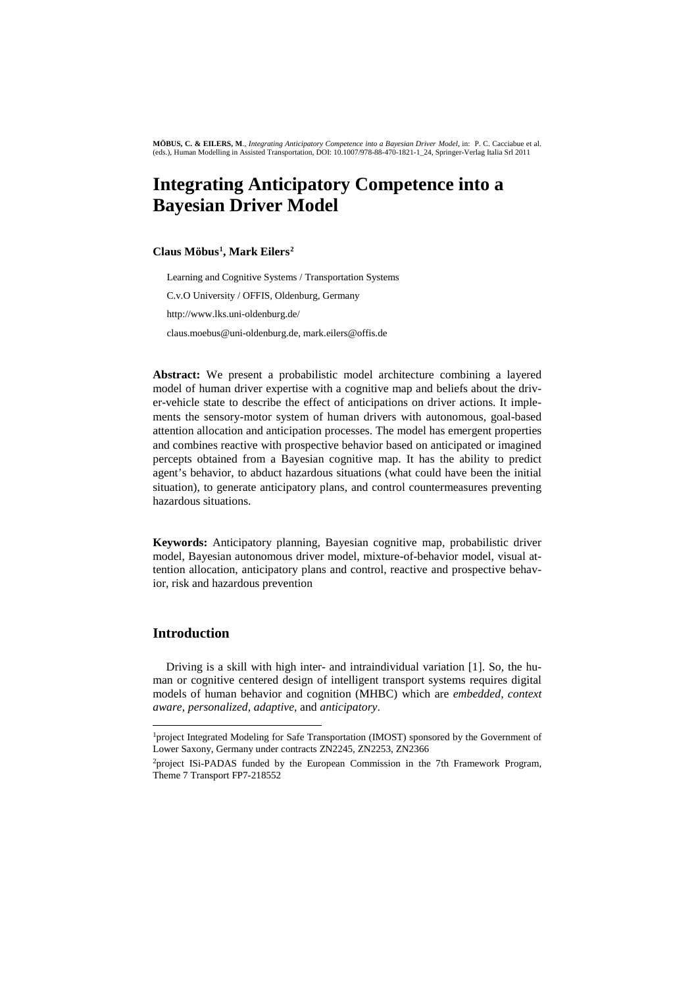# **Integrating Anticipatory Competence into a Bayesian Driver Model**

#### **Claus Möbus[1](#page-0-0), Mark Eilers[2](#page-0-1)**

Learning and Cognitive Systems / Transportation Systems C.v.O University / OFFIS, Oldenburg, Germany http://www.lks.uni-oldenburg.de/ claus.moebus@uni-oldenburg.de, mark.eilers@offis.de

**Abstract:** We present a probabilistic model architecture combining a layered model of human driver expertise with a cognitive map and beliefs about the driver-vehicle state to describe the effect of anticipations on driver actions. It implements the sensory-motor system of human drivers with autonomous, goal-based attention allocation and anticipation processes. The model has emergent properties and combines reactive with prospective behavior based on anticipated or imagined percepts obtained from a Bayesian cognitive map. It has the ability to predict agent's behavior, to abduct hazardous situations (what could have been the initial situation), to generate anticipatory plans, and control countermeasures preventing hazardous situations.

**Keywords:** Anticipatory planning, Bayesian cognitive map, probabilistic driver model, Bayesian autonomous driver model, mixture-of-behavior model, visual attention allocation, anticipatory plans and control, reactive and prospective behavior, risk and hazardous prevention

#### **Introduction**

-

Driving is a skill with high inter- and intraindividual variation [1]. So, the human or cognitive centered design of intelligent transport systems requires digital models of human behavior and cognition (MHBC) which are *embedded, context aware, personalized, adaptive,* and *anticipatory*.

<span id="page-0-0"></span><sup>&</sup>lt;sup>1</sup>project Integrated Modeling for Safe Transportation (IMOST) sponsored by the Government of Lower Saxony, Germany under contracts ZN2245, ZN2253, ZN2366

<span id="page-0-1"></span><sup>&</sup>lt;sup>2</sup>project ISi-PADAS funded by the European Commission in the 7th Framework Program, Theme 7 Transport FP7-218552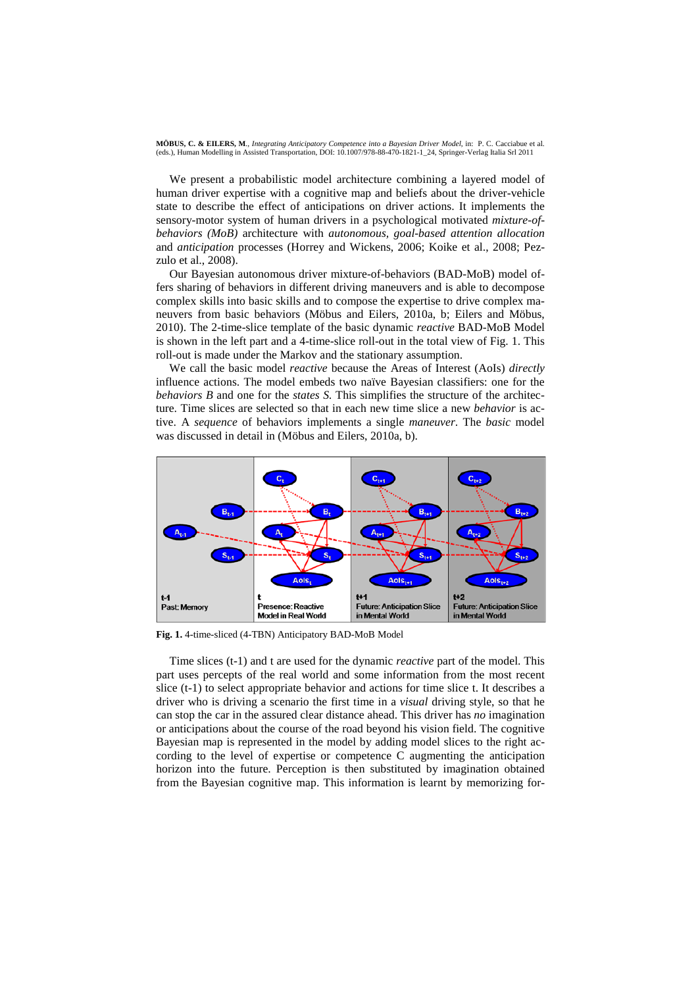We present a probabilistic model architecture combining a layered model of human driver expertise with a cognitive map and beliefs about the driver-vehicle state to describe the effect of anticipations on driver actions. It implements the sensory-motor system of human drivers in a psychological motivated *mixture-ofbehaviors (MoB)* architecture with *autonomous, goal-based attention allocation* and *anticipation* processes (Horrey and Wickens, 2006; Koike et al., 2008; Pezzulo et al., 2008).

Our Bayesian autonomous driver mixture-of-behaviors (BAD-MoB) model offers sharing of behaviors in different driving maneuvers and is able to decompose complex skills into basic skills and to compose the expertise to drive complex maneuvers from basic behaviors (Möbus and Eilers, 2010a, b; Eilers and Möbus, 2010). The 2-time-slice template of the basic dynamic *reactive* BAD-MoB Model is shown in the left part and a 4-time-slice roll-out in the total view of Fig. 1. This roll-out is made under the Markov and the stationary assumption.

We call the basic model *reactive* because the Areas of Interest (AoIs) *directly* influence actions. The model embeds two naïve Bayesian classifiers: one for the *behaviors B* and one for the *states S.* This simplifies the structure of the architecture. Time slices are selected so that in each new time slice a new *behavior* is active. A *sequence* of behaviors implements a single *maneuver*. The *basic* model was discussed in detail in (Möbus and Eilers, 2010a, b).



**Fig. 1.** 4-time-sliced (4-TBN) Anticipatory BAD-MoB Model

Time slices (t-1) and t are used for the dynamic *reactive* part of the model. This part uses percepts of the real world and some information from the most recent slice (t-1) to select appropriate behavior and actions for time slice t. It describes a driver who is driving a scenario the first time in a *visual* driving style, so that he can stop the car in the assured clear distance ahead. This driver has *no* imagination or anticipations about the course of the road beyond his vision field. The cognitive Bayesian map is represented in the model by adding model slices to the right according to the level of expertise or competence C augmenting the anticipation horizon into the future. Perception is then substituted by imagination obtained from the Bayesian cognitive map. This information is learnt by memorizing for-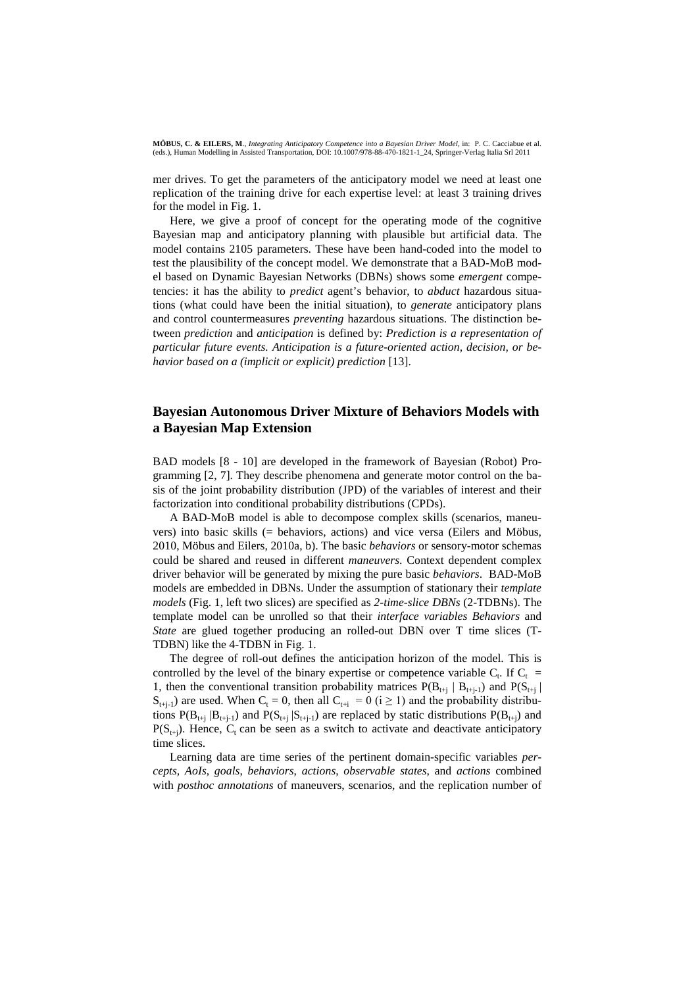mer drives. To get the parameters of the anticipatory model we need at least one replication of the training drive for each expertise level: at least 3 training drives for the model in Fig. 1.

Here, we give a proof of concept for the operating mode of the cognitive Bayesian map and anticipatory planning with plausible but artificial data. The model contains 2105 parameters. These have been hand-coded into the model to test the plausibility of the concept model. We demonstrate that a BAD-MoB model based on Dynamic Bayesian Networks (DBNs) shows some *emergent* competencies: it has the ability to *predict* agent's behavior, to *abduct* hazardous situations (what could have been the initial situation), to *generate* anticipatory plans and control countermeasures *preventing* hazardous situations. The distinction between *prediction* and *anticipation* is defined by: *Prediction is a representation of particular future events. Anticipation is a future-oriented action, decision, or behavior based on a (implicit or explicit) prediction* [13].

### **Bayesian Autonomous Driver Mixture of Behaviors Models with a Bayesian Map Extension**

BAD models [8 - 10] are developed in the framework of Bayesian (Robot) Programming [2, 7]. They describe phenomena and generate motor control on the basis of the joint probability distribution (JPD) of the variables of interest and their factorization into conditional probability distributions (CPDs).

A BAD-MoB model is able to decompose complex skills (scenarios, maneuvers) into basic skills (= behaviors, actions) and vice versa (Eilers and Möbus, 2010, Möbus and Eilers, 2010a, b). The basic *behaviors* or sensory-motor schemas could be shared and reused in different *maneuvers*. Context dependent complex driver behavior will be generated by mixing the pure basic *behaviors*. BAD-MoB models are embedded in DBNs. Under the assumption of stationary their *template models* (Fig. 1, left two slices) are specified as *2-time-slice DBNs* (2-TDBNs). The template model can be unrolled so that their *interface variables Behaviors* and *State* are glued together producing an rolled-out DBN over T time slices (T-TDBN) like the 4-TDBN in Fig. 1.

The degree of roll-out defines the anticipation horizon of the model. This is controlled by the level of the binary expertise or competence variable  $C_t$ . If  $C_t$  = 1, then the conventional transition probability matrices  $P(B_{t+i} | B_{t+i})$  and  $P(S_{t+i} | B_{t+i})$  $S_{t+i-1}$ ) are used. When  $C_t = 0$ , then all  $C_{t+i} = 0$  (i  $\geq 1$ ) and the probability distributions  $P(B_{t+i} | B_{t+i-1})$  and  $P(S_{t+i} | S_{t+i-1})$  are replaced by static distributions  $P(B_{t+i})$  and  $P(S_{t+1})$ . Hence,  $C_t$  can be seen as a switch to activate and deactivate anticipatory time slices.

Learning data are time series of the pertinent domain-specific variables *percepts, AoIs*, *goals*, *behaviors*, *actions*, *observable states*, and *actions* combined with *posthoc annotations* of maneuvers, scenarios, and the replication number of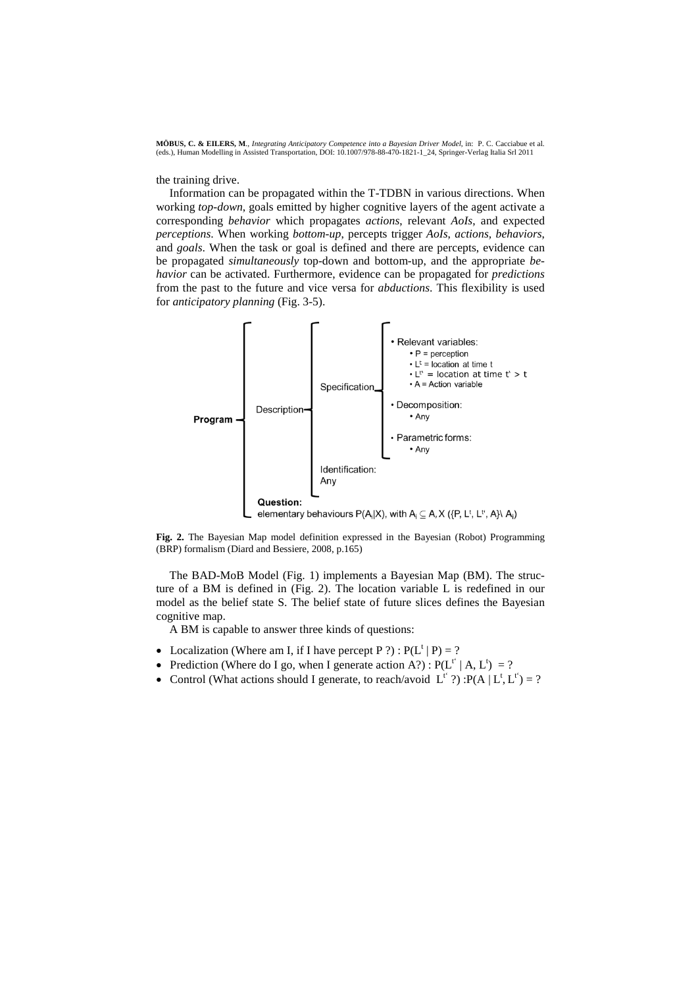the training drive.

Information can be propagated within the T-TDBN in various directions. When working *top-down*, goals emitted by higher cognitive layers of the agent activate a corresponding *behavior* which propagates *actions*, relevant *AoIs*, and expected *perceptions*. When working *bottom-up*, percepts trigger *AoIs*, *actions, behaviors*, and *goals*. When the task or goal is defined and there are percepts, evidence can be propagated *simultaneously* top-down and bottom-up, and the appropriate *behavior* can be activated. Furthermore, evidence can be propagated for *predictions*  from the past to the future and vice versa for *abductions*. This flexibility is used for *anticipatory planning* (Fig. 3-5).



**Fig. 2.** The Bayesian Map model definition expressed in the Bayesian (Robot) Programming (BRP) formalism (Diard and Bessiere, 2008, p.165)

The BAD-MoB Model (Fig. 1) implements a Bayesian Map (BM). The structure of a BM is defined in (Fig. 2). The location variable L is redefined in our model as the belief state S. The belief state of future slices defines the Bayesian cognitive map.

A BM is capable to answer three kinds of questions:

- Localization (Where am I, if I have percept P ?) :  $P(L^{\dagger} | P) = ?$
- Prediction (Where do I go, when I generate action A?):  $P(L^{t'} | A, L^t) = ?$
- Control (What actions should I generate, to reach/avoid  $L^{t'}$  ?) :P(A  $|L^{t}, L^{t'}| = ?$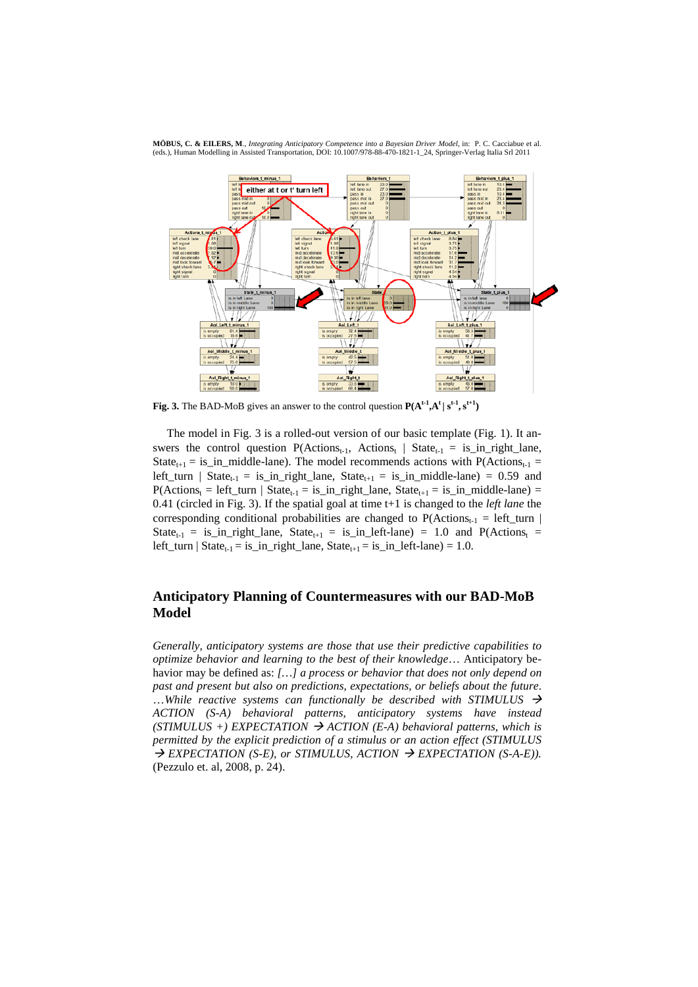

**Fig. 3.** The BAD-MoB gives an answer to the control question  $P(A^{t-1}, A^t | s^{t-1}, s^{t+1})$ 

The model in Fig. 3 is a rolled-out version of our basic template (Fig. 1). It answers the control question  $P(\text{Actions}_{t-1}, \text{Actions}_{t} | \text{State}_{t-1} = is_in\_right\_lane)$ , State<sub>t+1</sub> = is\_in\_middle-lane). The model recommends actions with  $P(\text{Actions}_{t-1} =$ left\_turn | State<sub>t-1</sub> = is\_in\_right\_lane, State<sub>t+1</sub> = is\_in\_middle-lane) = 0.59 and  $P(\text{Actions}_{t} = left\_turn \mid \text{State}_{t-1} = is_in\_right\_lane, State_{t+1} = is_in\_middle-lane) =$ 0.41 (circled in Fig. 3). If the spatial goal at time t+1 is changed to the *left lane* the corresponding conditional probabilities are changed to  $P(\text{Actions}_{t-1} = left\_turn |$ State<sub>t-1</sub> = is\_in\_right\_lane, State<sub>t+1</sub> = is\_in\_left-lane) = 1.0 and P(Actions<sub>t</sub> = left\_turn | State<sub>t-1</sub> = is\_in\_right\_lane, State<sub>t+1</sub> = is\_in\_left-lane) = 1.0.

## **Anticipatory Planning of Countermeasures with our BAD-MoB Model**

*Generally, anticipatory systems are those that use their predictive capabilities to optimize behavior and learning to the best of their knowledge*… Anticipatory behavior may be defined as: *[…] a process or behavior that does not only depend on past and present but also on predictions, expectations, or beliefs about the future*. …*While reactive systems can functionally be described with STIMULUS ACTION (S-A) behavioral patterns, anticipatory systems have instead*   $(STIMULUS +)$  *EXPECTATION*  $\rightarrow$  *ACTION* (*E-A*) *behavioral patterns, which is permitted by the explicit prediction of a stimulus or an action effect (STIMULUS*   $\rightarrow$  EXPECTATION (S-E), or STIMULUS, ACTION  $\rightarrow$  EXPECTATION (S-A-E)). (Pezzulo et. al, 2008, p. 24).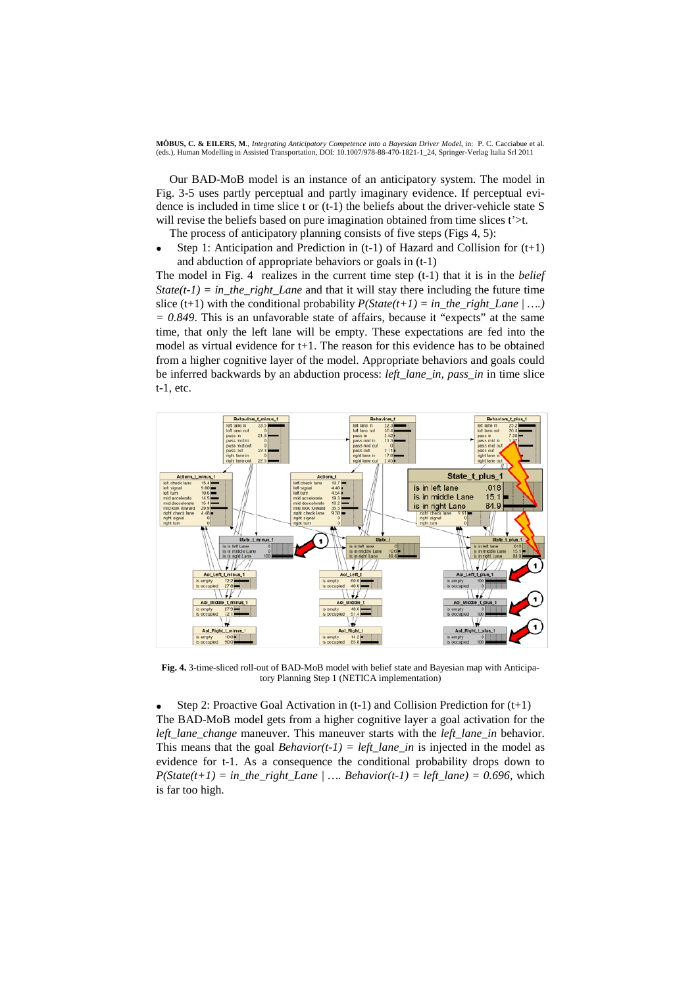Our BAD-MoB model is an instance of an anticipatory system. The model in Fig. 3-5 uses partly perceptual and partly imaginary evidence. If perceptual evidence is included in time slice t or (t-1) the beliefs about the driver-vehicle state S will revise the beliefs based on pure imagination obtained from time slices t'>t.

The process of anticipatory planning consists of five steps (Figs 4, 5):

Step 1: Anticipation and Prediction in  $(t-1)$  of Hazard and Collision for  $(t+1)$ and abduction of appropriate behaviors or goals in (t-1)

The model in Fig. 4 realizes in the current time step (t-1) that it is in the *belief State(t-1) = in the right Lane* and that it will stay there including the future time slice (t+1) with the conditional probability  $P(State(t+1) = in\_the\_right\_Lane | ... )$ *= 0.849*. This is an unfavorable state of affairs, because it "expects" at the same time, that only the left lane will be empty. These expectations are fed into the model as virtual evidence for t+1. The reason for this evidence has to be obtained from a higher cognitive layer of the model. Appropriate behaviors and goals could be inferred backwards by an abduction process: *left\_lane\_in, pass\_in* in time slice t-1, etc.



**Fig. 4.** 3-time-sliced roll-out of BAD-MoB model with belief state and Bayesian map with Anticipatory Planning Step 1 (NETICA implementation)

Step 2: Proactive Goal Activation in  $(t-1)$  and Collision Prediction for  $(t+1)$ The BAD-MoB model gets from a higher cognitive layer a goal activation for the *left lane change* maneuver. This maneuver starts with the *left lane in* behavior. This means that the goal *Behavior(t-1)* = *left\_lane\_in* is injected in the model as evidence for t-1. As a consequence the conditional probability drops down to  $P(State(t+1) = in\_the\_right\_Lane$  / ....  $Behavior(t-1) = left\_lane) = 0.696$ , which is far too high.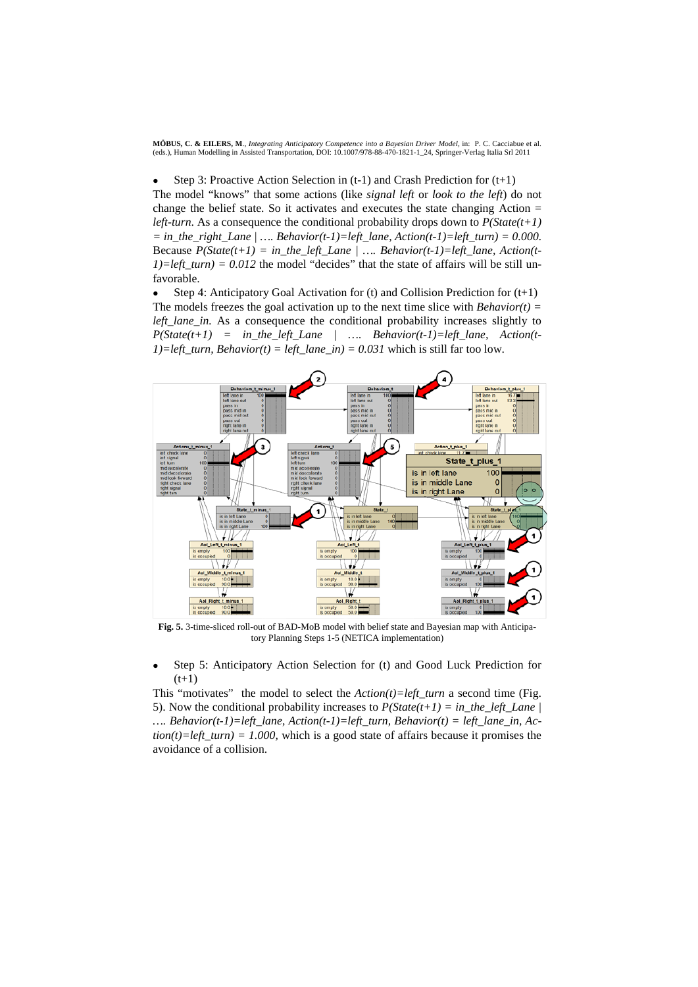Step 3: Proactive Action Selection in  $(t-1)$  and Crash Prediction for  $(t+1)$ 

The model "knows" that some actions (like *signal left* or *look to the left*) do not change the belief state. So it activates and executes the state changing Action = *left-turn*. As a consequence the conditional probability drops down to *P(State(t+1)*   $=$  in the right Lane  $| \dots$  Behavior(t-1)=left lane, Action(t-1)=left turn) = 0.000. Because  $P(State(t+1) = in the left Lane | .... Behavior(t-1)=left. lane, Action(t-1)$ *1)=left*  $turn = 0.012$  the model "decides" that the state of affairs will be still unfavorable.

Step 4: Anticipatory Goal Activation for (t) and Collision Prediction for  $(t+1)$ The models freezes the goal activation up to the next time slice with *Behavior(t)* = *left\_lane\_in.* As a consequence the conditional probability increases slightly to  $P(State(t+1) = in the left Lane$  | …. Behavior(t-1)=left lane, Action(t-*1)=left\_turn, Behavior(t) = left\_lane\_in) = 0.031* which is still far too low.



**Fig. 5.** 3-time-sliced roll-out of BAD-MoB model with belief state and Bayesian map with Anticipatory Planning Steps 1-5 (NETICA implementation)

Step 5: Anticipatory Action Selection for (t) and Good Luck Prediction for  $(t+1)$ 

This "motivates" the model to select the *Action(t)=left\_turn* a second time (Fig. 5). Now the conditional probability increases to  $P(State(t+1) = in\_the\_left\_Lane)$ *…. Behavior(t-1)=left\_lane, Action(t-1)=left\_turn, Behavior(t) = left\_lane\_in, Ac* $tion(t)=left\_turn$ ) = 1.000, which is a good state of affairs because it promises the avoidance of a collision.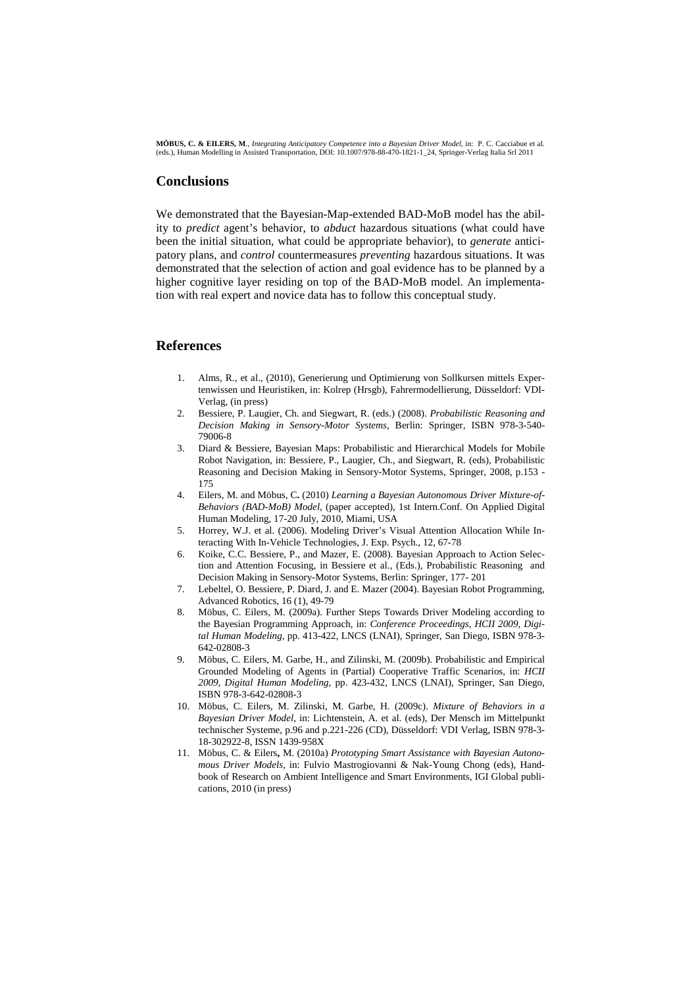#### **Conclusions**

We demonstrated that the Bayesian-Map-extended BAD-MoB model has the ability to *predict* agent's behavior, to *abduct* hazardous situations (what could have been the initial situation, what could be appropriate behavior), to *generate* anticipatory plans, and *control* countermeasures *preventing* hazardous situations. It was demonstrated that the selection of action and goal evidence has to be planned by a higher cognitive layer residing on top of the BAD-MoB model. An implementation with real expert and novice data has to follow this conceptual study.

### **References**

- 1. Alms, R., et al., (2010), Generierung und Optimierung von Sollkursen mittels Expertenwissen und Heuristiken, in: Kolrep (Hrsgb), Fahrermodellierung, Düsseldorf: VDI-Verlag, (in press)
- 2. Bessiere, P. Laugier, Ch. and Siegwart, R. (eds.) (2008). *Probabilistic Reasoning and Decision Making in Sensory-Motor Systems*, Berlin: Springer, ISBN 978-3-540- 79006-8
- 3. Diard & Bessiere, Bayesian Maps: Probabilistic and Hierarchical Models for Mobile Robot Navigation, in: Bessiere, P., Laugier, Ch., and Siegwart, R. (eds), Probabilistic Reasoning and Decision Making in Sensory-Motor Systems, Springer, 2008, p.153 - 175
- 4. Eilers, M. and Möbus, C**.** (2010) *Learning a Bayesian Autonomous Driver Mixture-of-Behaviors (BAD-MoB) Model*, (paper accepted), 1st Intern.Conf. On Applied Digital Human Modeling, 17-20 July, 2010, Miami, USA
- 5. Horrey, W.J. et al. (2006). Modeling Driver's Visual Attention Allocation While Interacting With In-Vehicle Technologies, J. Exp. Psych., 12, 67-78
- 6. Koike, C.C. Bessiere, P., and Mazer, E. (2008). Bayesian Approach to Action Selection and Attention Focusing, in Bessiere et al., (Eds.), Probabilistic Reasoning and Decision Making in Sensory-Motor Systems, Berlin: Springer, 177- 201
- 7. Lebeltel, O. Bessiere, P. Diard, J. and E. Mazer (2004). Bayesian Robot Programming, Advanced Robotics, 16 (1), 49-79
- 8. Möbus, C. Eilers, M. (2009a). Further Steps Towards Driver Modeling according to the Bayesian Programming Approach*,* in: *Conference Proceedings, HCII 2009, Digital Human Modeling*, pp. 413-422, LNCS (LNAI), Springer, San Diego, ISBN 978-3- 642-02808-3
- 9. Möbus, C. Eilers, M. Garbe, H., and Zilinski, M. (2009b). Probabilistic and Empirical Grounded Modeling of Agents in (Partial) Cooperative Traffic Scenarios, in: *HCII 2009, Digital Human Modeling*, pp. 423-432, LNCS (LNAI), Springer, San Diego, ISBN 978-3-642-02808-3
- 10. Möbus, C. Eilers, M. Zilinski, M. Garbe, H. (2009c). *Mixture of Behaviors in a Bayesian Driver Model*, in: Lichtenstein, A. et al. (eds), Der Mensch im Mittelpunkt technischer Systeme, p.96 and p.221-226 (CD), Düsseldorf: VDI Verlag, ISBN 978-3- 18-302922-8, ISSN 1439-958X
- 11. Möbus, C. & Eilers**,** M. (2010a) *Prototyping Smart Assistance with Bayesian Autonomous Driver Models,* in: Fulvio Mastrogiovanni & Nak-Young Chong (eds), Handbook of Research on Ambient Intelligence and Smart Environments, IGI Global publications, 2010 (in press)